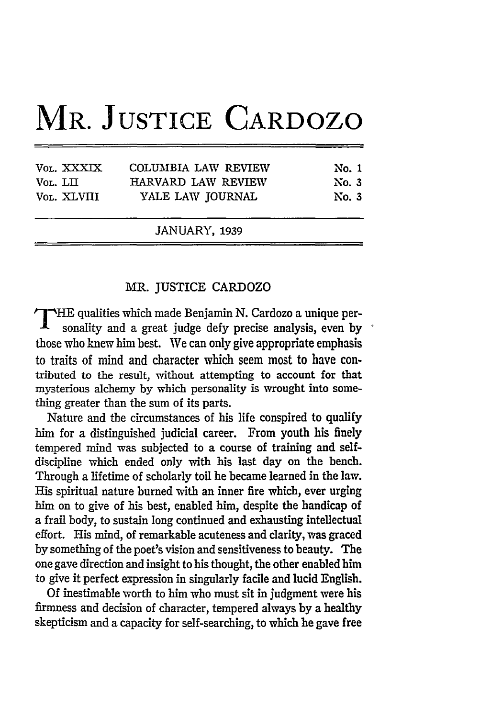## **MR. JUSTICE CARDOZO**

|                         | JANUARY, 1939                          |                |
|-------------------------|----------------------------------------|----------------|
| Vol. LII<br>VOL. XLVIII | HARVARD LAW REVIEW<br>YALE LAW JOURNAL | No. 3<br>No. 3 |
| VOL. XXXIX              | COLUMBIA LAW REVIEW                    | No. 1          |

## MR. JUSTICE CARDOZO

**T** HE qualities which made Benjamin N. Cardozo a unique personality and a great judge defy precise analysis, even by those who knew him best. We can only give appropriate emphasis to traits of mind and character which seem most to have contributed to the result, without attempting to account for that mysterious alchemy by which personality is wrought into something greater than the sum of its parts.

Nature and the circumstances of his life conspired to qualify him for a distinguished judicial career. From youth his finely tempered mind was subjected to a course of training and selfdiscipline which ended only with his last day on the bench. Through a lifetime of scholarly toil he became learned in the law. His spiritual nature burned with an inner fire which, ever urging him on to give of his best, enabled him, despite the handicap of a frail body, to sustain long continued and exhausting intellectual effort. His mind, of remarkable acuteness and clarity, was graced by something of the poet's vision and sensitiveness to beauty. The one gave direction and insight to his thought, the other enabled him to give it perfect expression in singularly facile and lucid English.

Of inestimable worth to him who must sit in judgment were his firmness and decision of character, tempered always by a healthy skepticism and a capacity for self-searching, to which he gave free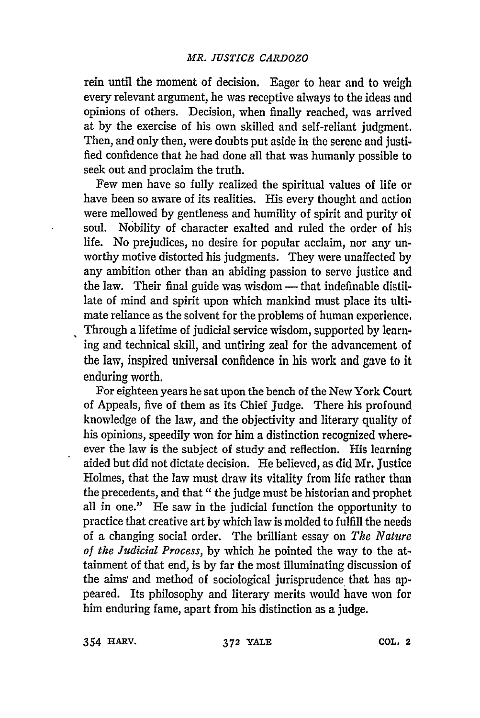rein until the moment of decision. Eager to hear and to weigh every relevant argument, he was receptive always to the ideas and opinions of others. Decision, when finally reached, was arrived at **by** the exercise of his own skilled and self-reliant judgment. Then, and only then, were doubts put aside in the serene and justified confidence that he had done all that was humanly possible to seek out and proclaim the truth.

Few men have so fully realized the spiritual values of life or have been so aware of its realities. His every thought and action were mellowed **by** gentleness and humility of spirit and purity of soul. Nobility of character exalted and ruled the order of his life. No prejudices, no desire for popular acclaim, nor any unworthy motive distorted his judgments. They were unaffected **by** any ambition other than an abiding passion to serve justice and the law. Their final guide was wisdom — that indefinable distillate of mind and spirit upon which mankind must place its ultimate reliance as the solvent for the problems of human experience. Through a lifetime of judicial service wisdom, supported **by** learning and technical skill, and untiring zeal for the advancement of the law, inspired universal confidence in his work and gave to it enduring worth.

For eighteen years he sat upon the bench of the New York Court of Appeals, five of them as its Chief Judge. There his profound knowledge of the law, and the objectivity and literary quality of his opinions, speedily won for him a distinction recognized whereever the law is the subject of study and reflection. His learning aided but did not dictate decision. He believed, as did Mr. Justice Holmes, that the law must draw its vitality from life rather than the precedents, and that **"** the judge must be historian and prophet all in one." He saw in the judicial function the opportunity to practice that creative art **by** which law is molded to fulfill the needs of a changing social order. The brilliant essay on *The Nature of the Judicial Process,* **by** which he pointed the way to the attainment of that end, is **by** far the most illuminating discussion of the aims and method of sociological jurisprudence that has appeared. Its philosophy and literary merits would have won for him enduring fame, apart from his distinction as a judge.

354 **HARV.** *372* YALE **COL.** 2